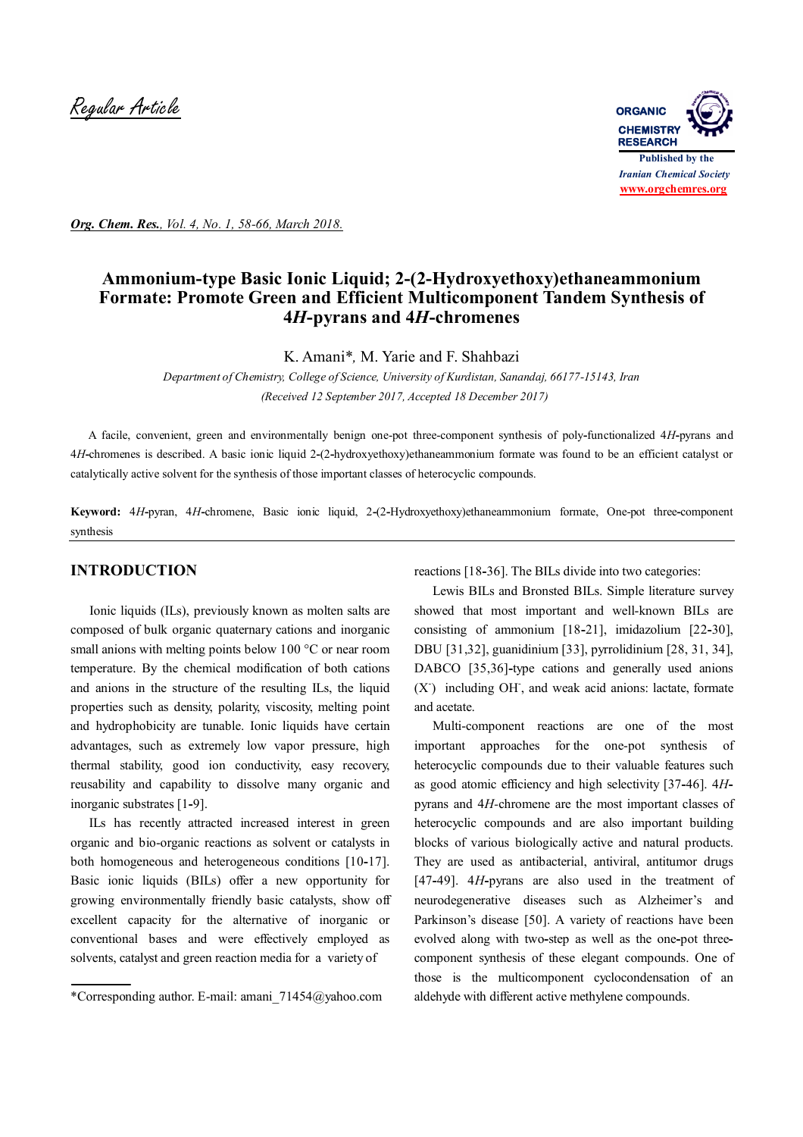

*Org. Chem. Res., Vol. 4, No. 1, 58-66, March 2018.*

# **Ammonium-type Basic Ionic Liquid; 2-(2-Hydroxyethoxy)ethaneammonium Formate: Promote Green and Efficient Multicomponent Tandem Synthesis of 4***H***-pyrans and 4***H***-chromenes**

K. Amani\**,* M. Yarie and F. Shahbazi

*Department of Chemistry, College of Science, University of Kurdistan, Sanandaj, 66177-15143, Iran (Received 12 September 2017, Accepted 18 December 2017)*

 A facile, convenient, green and environmentally benign one-pot three-component synthesis of poly**-**functionalized 4*H***-**pyrans and 4*H***-**chromenes is described. A basic ionic liquid 2**-**(2**-**hydroxyethoxy)ethaneammonium formate was found to be an efficient catalyst or catalytically active solvent for the synthesis of those important classes of heterocyclic compounds.

**Keyword:** 4*H***-**pyran, 4*H***-**chromene, Basic ionic liquid, 2**-**(2**-**Hydroxyethoxy)ethaneammonium formate, One-pot three**-**component synthesis

### **INTRODUCTION**

 Ionic liquids (ILs), previously known as molten salts are composed of bulk organic quaternary cations and inorganic small anions with melting points below 100 °C or near room temperature. By the chemical modification of both cations and anions in the structure of the resulting ILs, the liquid properties such as density, polarity, viscosity, melting point and hydrophobicity are tunable. Ionic liquids have certain advantages, such as extremely low vapor pressure, high thermal stability, good ion conductivity, easy recovery, reusability and capability to dissolve many organic and inorganic substrates [1**-**9].

ILs has recently attracted increased interest in green organic and bio-organic reactions as solvent or catalysts in both homogeneous and heterogeneous conditions [10**-**17]. Basic ionic liquids (BILs) offer a new opportunity for growing environmentally friendly basic catalysts, show off excellent capacity for the alternative of inorganic or conventional bases and were effectively employed as solvents, catalyst and green reaction media for a variety of

reactions [18**-**36]. The BILs divide into two categories:

Lewis BILs and Bronsted BILs. Simple literature survey showed that most important and well-known BILs are consisting of ammonium [18**-**21], imidazolium [22**-**30], DBU [31,32], guanidinium [33], pyrrolidinium [28, 31, 34], DABCO [35,36]-type cations and generally used anions (X- ) including OH- , and weak acid anions: lactate, formate and acetate.

Multi-component reactions are one of the most important approaches for the one-pot synthesis of heterocyclic compounds due to their valuable features such as good atomic efficiency and high selectivity [37**-**46]. 4*H*pyrans and 4*H-*chromene are the most important classes of heterocyclic compounds and are also important building blocks of various biologically active and natural products. They are used as antibacterial, antiviral, antitumor drugs [47**-**49]. 4*H***-**pyrans are also used in the treatment of neurodegenerative diseases such as Alzheimer's and Parkinson's disease [50]. A variety of reactions have been evolved along with two**-**step as well as the one**-**pot threecomponent synthesis of these elegant compounds. One of those is the multicomponent cyclocondensation of an aldehyde with different active methylene compounds.

<sup>\*</sup>Corresponding author. E-mail: amani\_71454@yahoo.com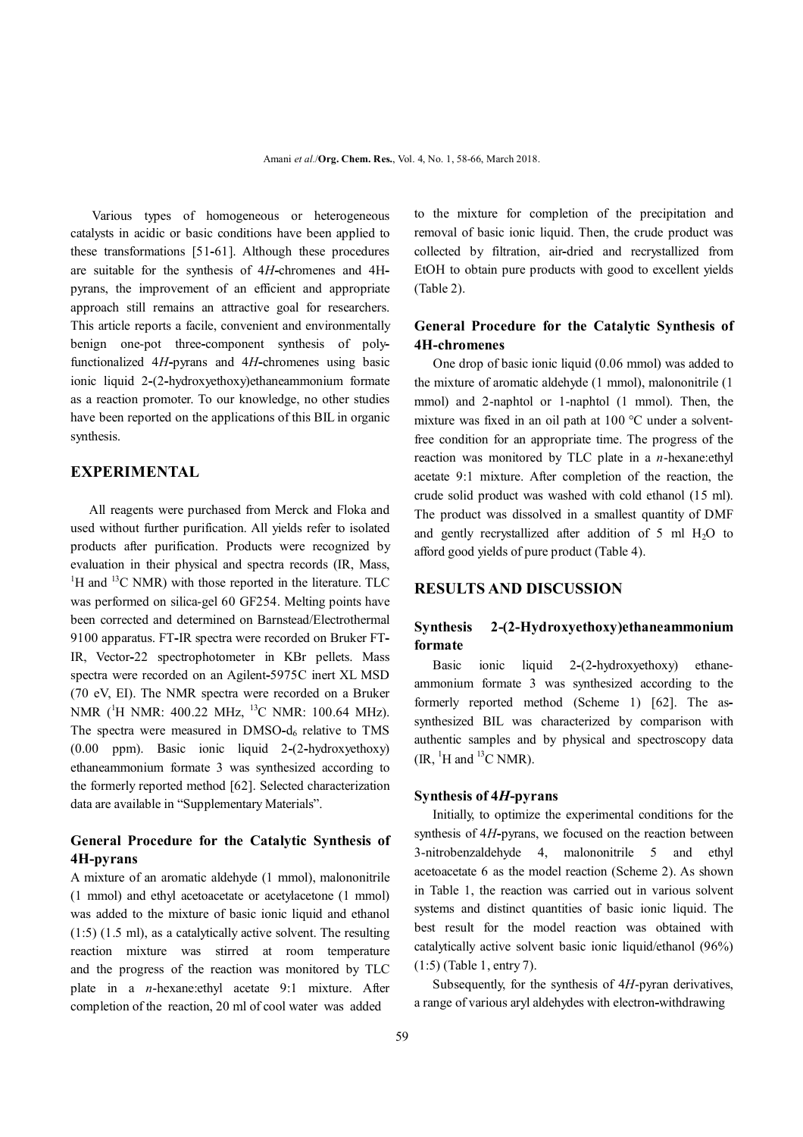Various types of homogeneous or heterogeneous catalysts in acidic or basic conditions have been applied to these transformations [51**-**61]. Although these procedures are suitable for the synthesis of 4*H***-**chromenes and 4Hpyrans, the improvement of an efficient and appropriate approach still remains an attractive goal for researchers. This article reports a facile, convenient and environmentally benign one-pot three**-**component synthesis of polyfunctionalized 4*H***-**pyrans and 4*H***-**chromenes using basic ionic liquid 2**-**(2**-**hydroxyethoxy)ethaneammonium formate as a reaction promoter. To our knowledge, no other studies have been reported on the applications of this BIL in organic synthesis.

## **EXPERIMENTAL**

All reagents were purchased from Merck and Floka and used without further purification. All yields refer to isolated products after purification. Products were recognized by evaluation in their physical and spectra records (IR, Mass,  ${}^{1}$ H and  ${}^{13}$ C NMR) with those reported in the literature. TLC was performed on silica-gel 60 GF254. Melting points have been corrected and determined on Barnstead/Electrothermal 9100 apparatus. FT**-**IR spectra were recorded on Bruker FT**-**IR, Vector**-**22 spectrophotometer in KBr pellets. Mass spectra were recorded on an Agilent**-**5975C inert XL MSD (70 eV, EI). The NMR spectra were recorded on a Bruker NMR (<sup>1</sup>H NMR: 400.22 MHz, <sup>13</sup>C NMR: 100.64 MHz). The spectra were measured in DMSO**-**d6 relative to TMS (0.00 ppm). Basic ionic liquid 2**-**(2**-**hydroxyethoxy) ethaneammonium formate 3 was synthesized according to the formerly reported method [62]. Selected characterization data are available in "Supplementary Materials".

### **General Procedure for the Catalytic Synthesis of 4H-pyrans**

A mixture of an aromatic aldehyde (1 mmol), malononitrile (1 mmol) and ethyl acetoacetate or acetylacetone (1 mmol) was added to the mixture of basic ionic liquid and ethanol (1:5) (1.5 ml), as a catalytically active solvent. The resulting reaction mixture was stirred at room temperature and the progress of the reaction was monitored by TLC plate in a *n*-hexane:ethyl acetate 9:1 mixture. After completion of the reaction, 20 ml of cool water was added

to the mixture for completion of the precipitation and removal of basic ionic liquid. Then, the crude product was collected by filtration, air**-**dried and recrystallized from EtOH to obtain pure products with good to excellent yields (Table 2).

### **General Procedure for the Catalytic Synthesis of 4H-chromenes**

 One drop of basic ionic liquid (0.06 mmol) was added to the mixture of aromatic aldehyde (1 mmol), malononitrile (1 mmol) and 2-naphtol or 1-naphtol (1 mmol). Then, the mixture was fixed in an oil path at 100 °C under a solventfree condition for an appropriate time. The progress of the reaction was monitored by TLC plate in a *n*-hexane:ethyl acetate 9:1 mixture. After completion of the reaction, the crude solid product was washed with cold ethanol (15 ml). The product was dissolved in a smallest quantity of DMF and gently recrystallized after addition of  $5 \text{ ml H}_2\text{O}$  to afford good yields of pure product (Table 4).

#### **RESULTS AND DISCUSSION**

### **Synthesis 2-(2-Hydroxyethoxy)ethaneammonium formate**

Basic ionic liquid 2**-**(2**-**hydroxyethoxy) ethaneammonium formate 3 was synthesized according to the formerly reported method (Scheme 1) [62]. The assynthesized BIL was characterized by comparison with authentic samples and by physical and spectroscopy data  $(IR, {}^{1}H$  and  ${}^{13}C$  NMR).

#### **Synthesis of 4***H***-pyrans**

Initially, to optimize the experimental conditions for the synthesis of 4*H***-**pyrans, we focused on the reaction between 3-nitrobenzaldehyde 4, malononitrile 5 and ethyl acetoacetate 6 as the model reaction (Scheme 2). As shown in Table 1, the reaction was carried out in various solvent systems and distinct quantities of basic ionic liquid. The best result for the model reaction was obtained with catalytically active solvent basic ionic liquid/ethanol (96%) (1:5) (Table 1, entry 7).

Subsequently, for the synthesis of 4*H*-pyran derivatives, a range of various aryl aldehydes with electron**-**withdrawing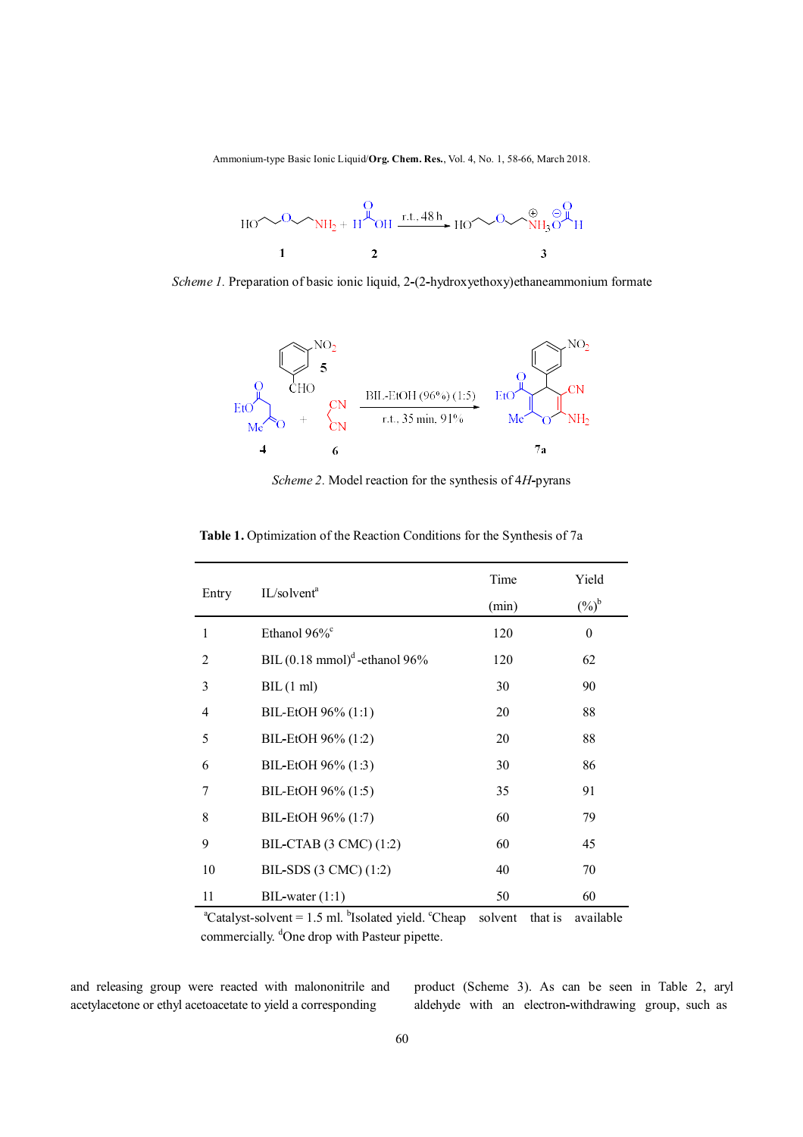Ammonium-type Basic Ionic Liquid/**Org. Chem. Res.**, Vol. 4, No. 1, 58-66, March 2018.



*Scheme 1.* Preparation of basic ionic liquid, 2**-**(2**-**hydroxyethoxy)ethaneammonium formate



*Scheme 2.* Model reaction for the synthesis of 4*H***-**pyrans

| Entry |                                          | Time  | Yield            |
|-------|------------------------------------------|-------|------------------|
|       | IL/solvent <sup>a</sup>                  | (min) | $(%)^b$          |
|       | Ethanol 96% <sup>c</sup>                 | 120   | $\boldsymbol{0}$ |
| 2     | BIL $(0.18 \text{ mmol})^d$ -ethanol 96% | 120   | 62               |
| 3     | BIL(1 ml)                                | 30    | 90               |
| 4     | BIL-EtOH 96% (1:1)                       | 20    | 88               |
| 5     | BIL-EtOH 96% (1:2)                       | 20    | 88               |
| 6     | BIL-EtOH 96% (1:3)                       | 30    | 86               |
| 7     | BIL-EtOH 96% (1:5)                       | 35    | 91               |
| 8     | BIL-EtOH 96% (1:7)                       | 60    | 79               |
| 9     | BIL-CTAB (3 CMC) (1:2)                   | 60    | 45               |
| 10    | BIL-SDS (3 CMC) (1:2)                    | 40    | 70               |
| 11    | $BIL$ -water $(1:1)$                     | 50    | 60               |

 **Table 1.** Optimization of the Reaction Conditions for the Synthesis of 7a

 ${}^{\text{a}}$ Catalyst-solvent = 1.5 ml.  ${}^{\text{b}}$ Isolated yield.  ${}^{\text{c}}$ Cheap solvent that is available commercially. <sup>d</sup>One drop with Pasteur pipette.

and releasing group were reacted with malononitrile and acetylacetone or ethyl acetoacetate to yield a corresponding

product (Scheme 3). As can be seen in Table 2, aryl aldehyde with an electron**-**withdrawing group, such as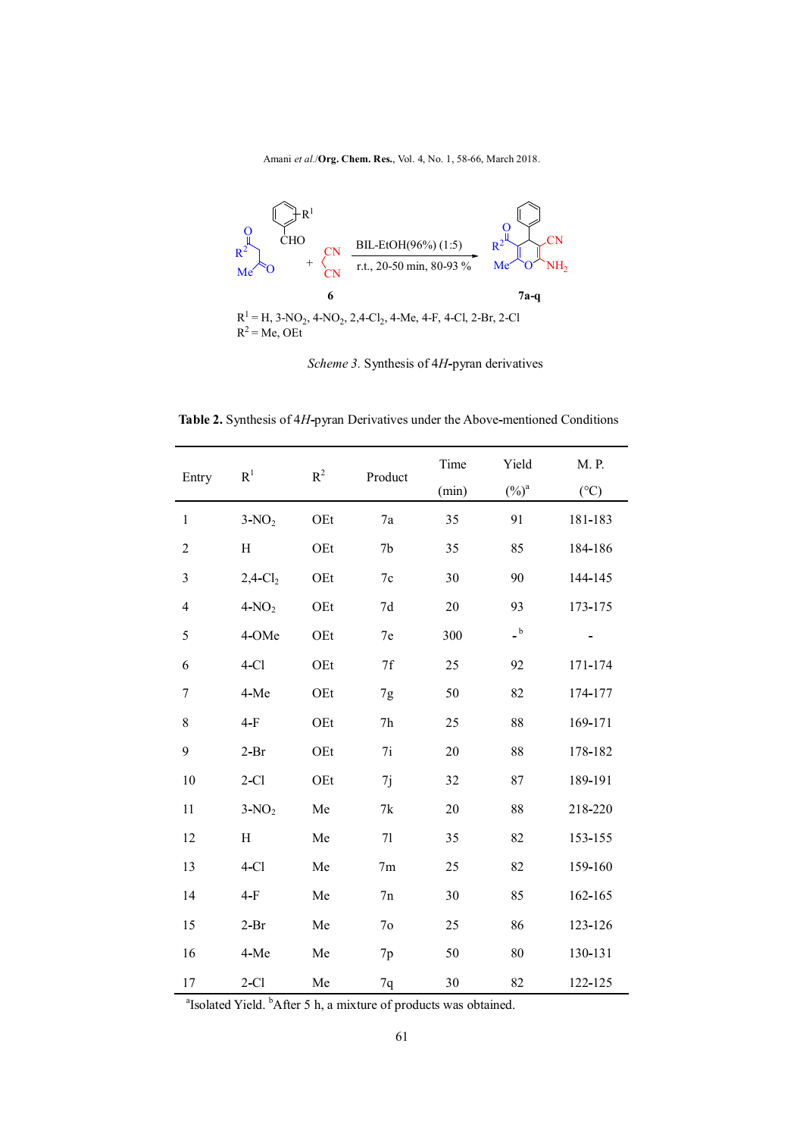Amani *et al.*/**Org. Chem. Res.**, Vol. 4, No. 1, 58-66, March 2018.



*Scheme 3.* Synthesis of 4*H***-**pyran derivatives

 **Table 2.** Synthesis of 4*H***-**pyran Derivatives under the Above**-**mentioned Conditions

| Entry                    | $\mathbf{R}^1$         | $R^2$ | Product        | Time<br>(min) | Yield<br>$(\%)^a$                       | M. P.<br>$({}^{\circ}C)$ |
|--------------------------|------------------------|-------|----------------|---------------|-----------------------------------------|--------------------------|
| $\mathbf{1}$             | $3-NO2$                | OEt   | 7a             | 35            | 91                                      | 181-183                  |
| $\overline{c}$           | $H_{\rm}$              | OEt   | 7 <sub>b</sub> | 35            | 85                                      | 184-186                  |
| $\mathfrak{Z}$           | $2,4$ -Cl <sub>2</sub> | OEt   | 7c             | 30            | 90                                      | 144-145                  |
| $\overline{\mathcal{L}}$ | $4-NO2$                | OEt   | 7d             | 20            | 93                                      | 173-175                  |
| 5                        | 4-OMe                  | OEt   | 7e             | 300           | $\overline{\phantom{a}}^{\phantom{a}b}$ |                          |
| 6                        | $4-Cl$                 | OEt   | 7f             | 25            | 92                                      | 171-174                  |
| $\tau$                   | 4-Me                   | OEt   | 7g             | 50            | 82                                      | 174-177                  |
| 8                        | $4-F$                  | OEt   | 7h             | 25            | 88                                      | 169-171                  |
| 9                        | $2-Pr$                 | OEt   | 7i             | 20            | 88                                      | 178-182                  |
| 10                       | $2-C1$                 | OEt   | 7j             | 32            | 87                                      | 189-191                  |
| 11                       | $3-NO2$                | Me    | 7k             | 20            | 88                                      | 218-220                  |
| 12                       | $H_{\rm}$              | Me    | 71             | 35            | 82                                      | 153-155                  |
| 13                       | $4-Cl$                 | Me    | 7 <sub>m</sub> | 25            | 82                                      | 159-160                  |
| 14                       | $4-F$                  | Me    | 7n             | 30            | 85                                      | 162-165                  |
| 15                       | $2-Pr$                 | Me    | 7 <sub>o</sub> | 25            | 86                                      | 123-126                  |
| 16                       | 4-Me                   | Me    | 7p             | 50            | 80                                      | 130-131                  |
| 17                       | $2-C1$                 | Me    | $7q$           | 30            | 82                                      | 122-125                  |

a a shekara ta 1972 a ƙafa ta ƙasar Ingila.<br>'Yan wasan ƙafa ta ƙasar Ingila. Isolated Yield. <sup>b</sup>After 5 h, a mixture of products was obtained.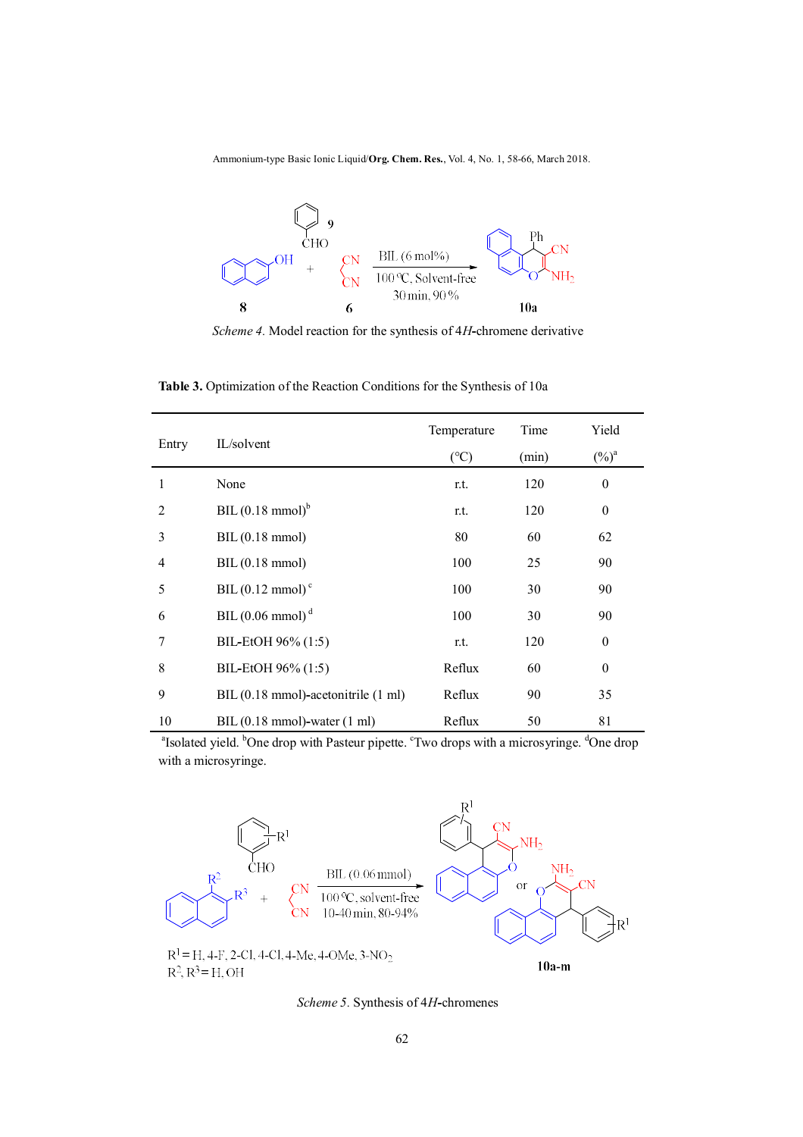Ammonium-type Basic Ionic Liquid/**Org. Chem. Res.**, Vol. 4, No. 1, 58-66, March 2018.



*Scheme 4.* Model reaction for the synthesis of 4*H***-**chromene derivative

 **Table 3.** Optimization of the Reaction Conditions for the Synthesis of 10a

| Entry |                                     | Temperature   | Time  | Yield        |
|-------|-------------------------------------|---------------|-------|--------------|
|       | IL/solvent                          | $(^{\circ}C)$ | (min) | $(\%)^a$     |
| 1     | None                                | r.t.          | 120   | $\theta$     |
| 2     | BIL $(0.18 \text{ mmol})^b$         | r.t.          | 120   | $\theta$     |
| 3     | BIL(0.18 mmol)                      | 80            | 60    | 62           |
| 4     | BIL(0.18 mmol)                      | 100           | 25    | 90           |
| 5     | BIL $(0.12 \text{ mmol})^c$         | 100           | 30    | 90           |
| 6     | BIL $(0.06 \text{ mmol})^d$         | 100           | 30    | 90           |
| 7     | BIL-EtOH 96% (1:5)                  | r.t.          | 120   | $\mathbf{0}$ |
| 8     | BIL-EtOH 96% (1:5)                  | Reflux        | 60    | $\theta$     |
| 9     | BIL (0.18 mmol)-acetonitrile (1 ml) | Reflux        | 90    | 35           |
| 10    | $BIL(0.18 mmol)$ -water $(1 ml)$    | Reflux        | 50    | 81           |

<sup>a</sup>Isolated yield. <sup>b</sup>One drop with Pasteur pipette. <sup>c</sup>Two drops with a microsyringe. <sup>d</sup>One drop with a microsyringe.



*Scheme 5.* Synthesis of 4*H***-**chromenes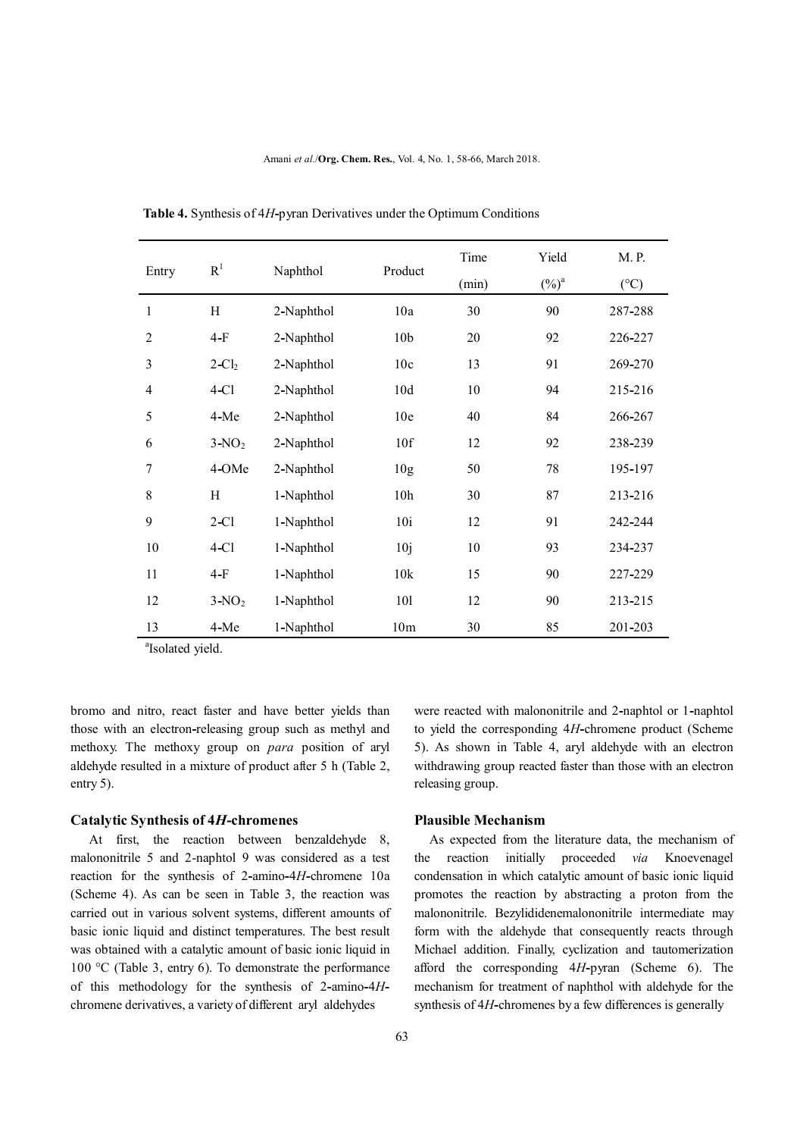| Entry          | R <sup>1</sup> | Naphthol   | Product         | Time<br>(min) | Yield<br>$(\%)^a$ | M. P.<br>$(^{\circ}C)$ |
|----------------|----------------|------------|-----------------|---------------|-------------------|------------------------|
|                |                |            |                 |               |                   |                        |
| $\mathbf{1}$   | H              | 2-Naphthol | 10a             | 30            | 90                | 287-288                |
| $\overline{2}$ | $4-F$          | 2-Naphthol | 10 <sub>b</sub> | 20            | 92                | 226-227                |
| 3              | $2-Cl2$        | 2-Naphthol | 10c             | 13            | 91                | 269-270                |
| $\overline{4}$ | $4-C1$         | 2-Naphthol | 10d             | 10            | 94                | 215-216                |
| 5              | 4-Me           | 2-Naphthol | 10 <sub>e</sub> | 40            | 84                | 266-267                |
| 6              | $3-NO2$        | 2-Naphthol | 10f             | 12            | 92                | 238-239                |
| $\overline{7}$ | 4-OMe          | 2-Naphthol | 10 <sub>g</sub> | 50            | 78                | 195-197                |
| 8              | H              | 1-Naphthol | 10 <sub>h</sub> | 30            | 87                | 213-216                |
| 9              | $2-C1$         | 1-Naphthol | 10i             | 12            | 91                | 242-244                |
| 10             | $4-C1$         | 1-Naphthol | 10j             | 10            | 93                | 234-237                |
| 11             | $4-F$          | 1-Naphthol | 10k             | 15            | 90                | 227-229                |
| 12             | $3-NO2$        | 1-Naphthol | 101             | 12            | 90                | 213-215                |
| 13             | 4-Me           | 1-Naphthol | 10 <sub>m</sub> | 30            | 85                | 201-203                |

 **Table 4.** Synthesis of 4*H***-**pyran Derivatives under the Optimum Conditions

a Isolated yield.

bromo and nitro, react faster and have better yields than those with an electron**-**releasing group such as methyl and methoxy. The methoxy group on *para* position of aryl aldehyde resulted in a mixture of product after 5 h (Table 2, entry 5).

#### **Catalytic Synthesis of 4***H***-chromenes**

At first, the reaction between benzaldehyde 8, malononitrile 5 and 2-naphtol 9 was considered as a test reaction for the synthesis of 2**-**amino**-**4*H***-**chromene 10a (Scheme 4). As can be seen in Table 3, the reaction was carried out in various solvent systems, different amounts of basic ionic liquid and distinct temperatures. The best result was obtained with a catalytic amount of basic ionic liquid in 100 °C (Table 3, entry 6). To demonstrate the performance of this methodology for the synthesis of 2**-**amino**-**4*H*chromene derivatives, a variety of different aryl aldehydes

were reacted with malononitrile and 2**-**naphtol or 1**-**naphtol to yield the corresponding 4*H***-**chromene product (Scheme 5). As shown in Table 4, aryl aldehyde with an electron withdrawing group reacted faster than those with an electron releasing group.

#### **Plausible Mechanism**

 As expected from the literature data, the mechanism of the reaction initially proceeded *via* Knoevenagel condensation in which catalytic amount of basic ionic liquid promotes the reaction by abstracting a proton from the malononitrile. Bezylididenemalononitrile intermediate may form with the aldehyde that consequently reacts through Michael addition. Finally, cyclization and tautomerization afford the corresponding 4*H***-**pyran (Scheme 6). The mechanism for treatment of naphthol with aldehyde for the synthesis of 4*H***-**chromenes by a few differences is generally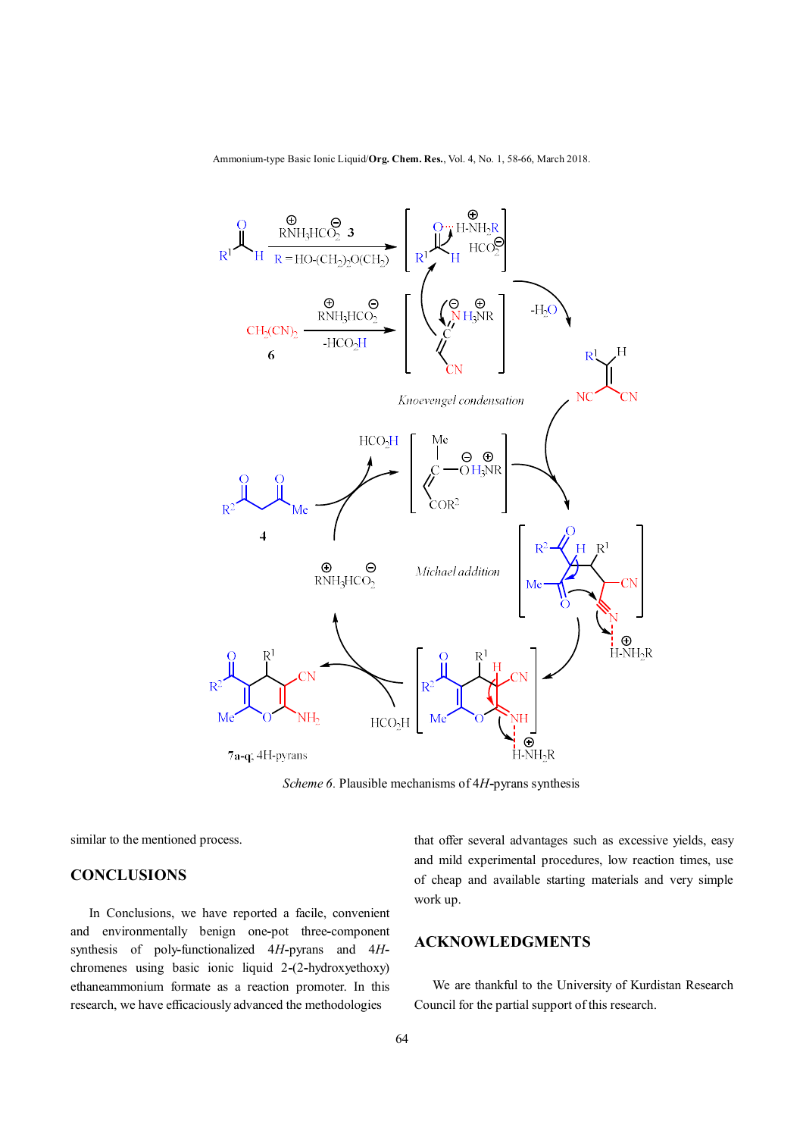Ammonium-type Basic Ionic Liquid/**Org. Chem. Res.**, Vol. 4, No. 1, 58-66, March 2018.



*Scheme 6.* Plausible mechanisms of 4*H***-**pyrans synthesis

similar to the mentioned process.

### **CONCLUSIONS**

In Conclusions, we have reported a facile, convenient and environmentally benign one**-**pot three**-**component synthesis of poly**-**functionalized 4*H***-**pyrans and 4*H*chromenes using basic ionic liquid 2**-**(2**-**hydroxyethoxy) ethaneammonium formate as a reaction promoter. In this research, we have efficaciously advanced the methodologies

that offer several advantages such as excessive yields, easy and mild experimental procedures, low reaction times, use of cheap and available starting materials and very simple work up.

# **ACKNOWLEDGMENTS**

We are thankful to the University of Kurdistan Research Council for the partial support of this research.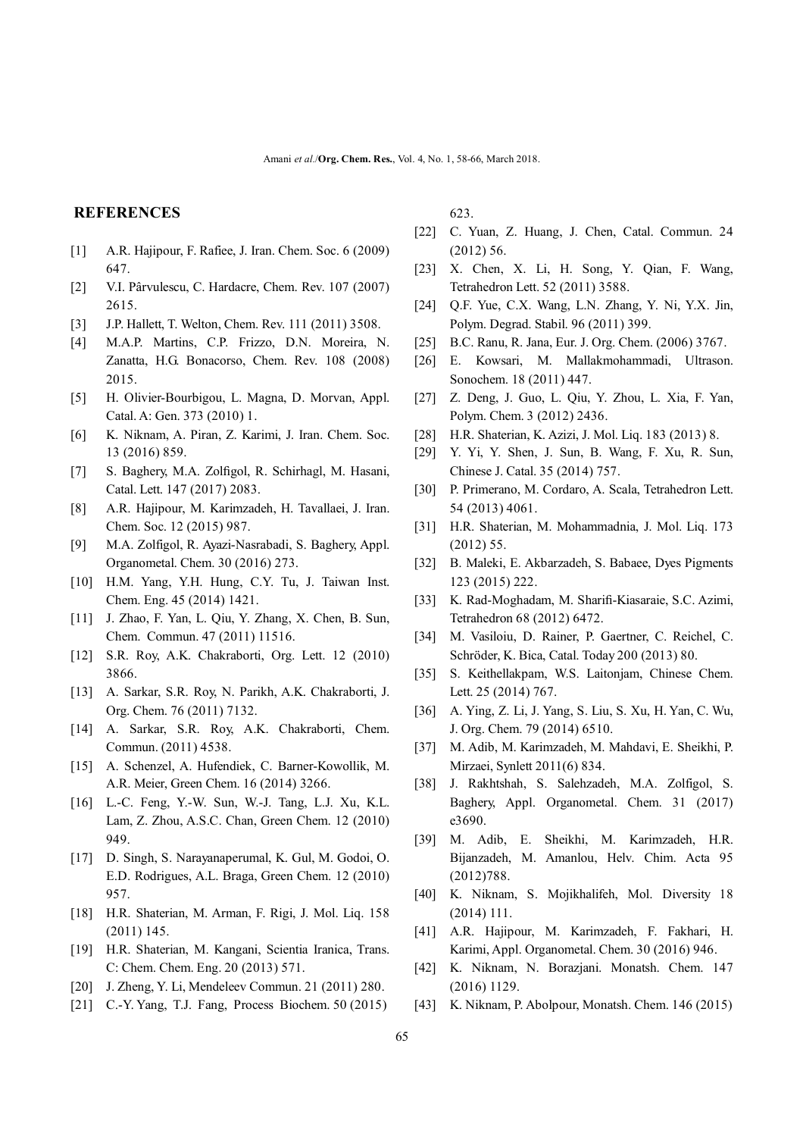### **REFERENCES**

- [1] A.R. Hajipour, F. Rafiee, J. Iran. Chem. Soc. 6 (2009) 647.
- [2] V.I. Pârvulescu, C. Hardacre, Chem. Rev. 107 (2007) 2615.
- [3] J.P. Hallett, T. Welton, Chem. Rev. 111 (2011) 3508.
- [4] M.A.P. Martins, C.P. Frizzo, D.N. Moreira, N. Zanatta, H.G. Bonacorso, Chem. Rev. 108 (2008) 2015.
- [5] H. Olivier-Bourbigou, L. Magna, D. Morvan, Appl. Catal. A: Gen. 373 (2010) 1.
- [6] K. Niknam, A. Piran, Z. Karimi, J. Iran. Chem. Soc. 13 (2016) 859.
- [7] S. Baghery, M.A. Zolfigol, R. Schirhagl, M. Hasani, Catal. Lett. 147 (2017) 2083.
- [8] A.R. Hajipour, M. Karimzadeh, H. Tavallaei, J. Iran. Chem. Soc. 12 (2015) 987.
- [9] M.A. Zolfigol, R. Ayazi-Nasrabadi, S. Baghery, Appl. Organometal. Chem. 30 (2016) 273.
- [10] H.M. Yang, Y.H. Hung, C.Y. Tu, J. Taiwan Inst. Chem. Eng. 45 (2014) 1421.
- [11] J. Zhao, F. Yan, L. Qiu, Y. Zhang, X. Chen, B. Sun, Chem. Commun. 47 (2011) 11516.
- [12] S.R. Roy, A.K. Chakraborti, Org. Lett. 12 (2010) 3866.
- [13] A. Sarkar, S.R. Roy, N. Parikh, A.K. Chakraborti, J. Org. Chem. 76 (2011) 7132.
- [14] A. Sarkar, S.R. Roy, A.K. Chakraborti, Chem. Commun. (2011) 4538.
- [15] A. Schenzel, A. Hufendiek, C. Barner-Kowollik, M. A.R. Meier, Green Chem. 16 (2014) 3266.
- [16] L.-C. Feng, Y.-W. Sun, W.-J. Tang, L.J. Xu, K.L. Lam, Z. Zhou, A.S.C. Chan, Green Chem. 12 (2010) 949.
- [17] D. Singh, S. Narayanaperumal, K. Gul, M. Godoi, O. E.D. Rodrigues, A.L. Braga, Green Chem. 12 (2010) 957.
- [18] H.R. Shaterian, M. Arman, F. Rigi, J. Mol. Liq. 158 (2011) 145.
- [19] H.R. Shaterian, M. Kangani, Scientia Iranica, Trans. C: Chem. Chem. Eng. 20 (2013) 571.
- [20] J. Zheng, Y. Li, Mendeleev Commun. 21 (2011) 280.
- [21] C.-Y. Yang, T.J. Fang, Process Biochem. 50 (2015)

623.

- [22] C. Yuan, Z. Huang, J. Chen, Catal. Commun. 24 (2012) 56.
- [23] X. Chen, X. Li, H. Song, Y. Qian, F. Wang, Tetrahedron Lett. 52 (2011) 3588.
- [24] O.F. Yue, C.X. Wang, L.N. Zhang, Y. Ni, Y.X. Jin, Polym. Degrad. Stabil. 96 (2011) 399.
- [25] B.C. Ranu, R. Jana, Eur. J. Org. Chem. (2006) 3767.
- [26] E. Kowsari, M. Mallakmohammadi, Ultrason. Sonochem. 18 (2011) 447.
- [27] Z. Deng, J. Guo, L. Qiu, Y. Zhou, L. Xia, F. Yan, Polym. Chem. 3 (2012) 2436.
- [28] H.R. Shaterian, K. Azizi, J. Mol. Liq. 183 (2013) 8.
- [29] Y. Yi, Y. Shen, J. Sun, B. Wang, F. Xu, R. Sun, Chinese J. Catal. 35 (2014) 757.
- [30] P. Primerano, M. Cordaro, A. Scala, Tetrahedron Lett. 54 (2013) 4061.
- [31] H.R. Shaterian, M. Mohammadnia, J. Mol. Liq. 173 (2012) 55.
- [32] B. Maleki, E. Akbarzadeh, S. Babaee, Dyes Pigments 123 (2015) 222.
- [33] K. Rad-Moghadam, M. Sharifi-Kiasaraie, S.C. Azimi, Tetrahedron 68 (2012) 6472.
- [34] M. Vasiloiu, D. Rainer, P. Gaertner, C. Reichel, C. Schröder, K. Bica, Catal. Today 200 (2013) 80.
- [35] S. Keithellakpam, W.S. Laitonjam, Chinese Chem. Lett. 25 (2014) 767.
- [36] A. Ying, Z. Li, J. Yang, S. Liu, S. Xu, H. Yan, C. Wu, J. Org. Chem. 79 (2014) 6510.
- [37] M. Adib, M. Karimzadeh, M. Mahdavi, E. Sheikhi, P. Mirzaei, Synlett 2011(6) 834.
- [38] J. Rakhtshah, S. Salehzadeh, M.A. Zolfigol, S. Baghery, Appl. Organometal. Chem. 31 (2017) e3690.
- [39] M. Adib, E. Sheikhi, M. Karimzadeh, H.R. Bijanzadeh, M. Amanlou, Helv. Chim. Acta 95 (2012)788.
- [40] K. Niknam, S. Mojikhalifeh, Mol. Diversity 18 (2014) 111.
- [41] A.R. Hajipour, M. Karimzadeh, F. Fakhari, H. Karimi, Appl. Organometal. Chem. 30 (2016) 946.
- [42] K. Niknam, N. Borazjani. Monatsh. Chem. 147 (2016) 1129.
- [43] K. Niknam, P. Abolpour, Monatsh. Chem. 146 (2015)